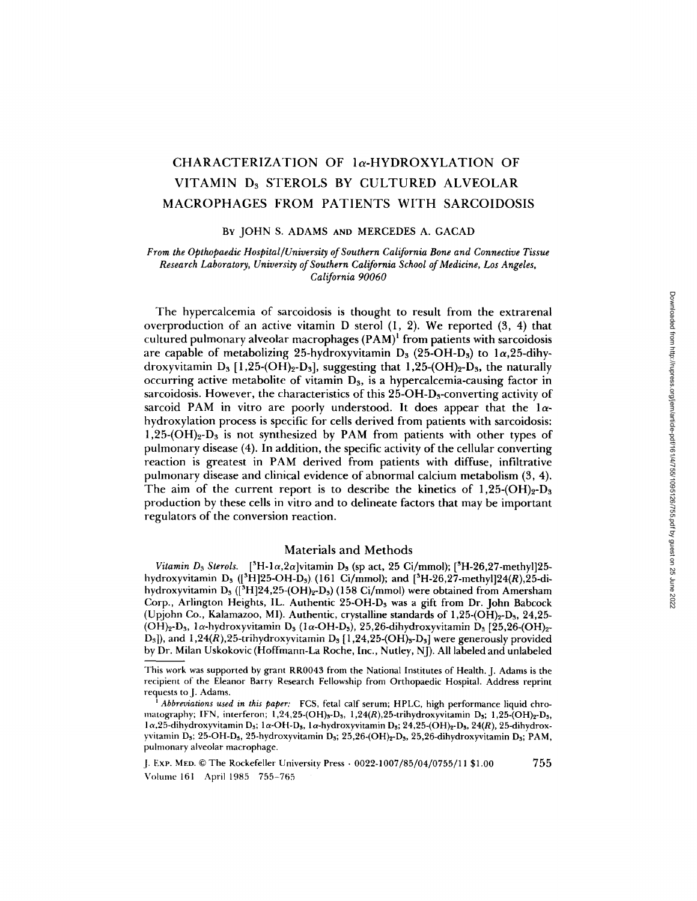# CHARACTERIZATION OF la-HYDROXYLATION OF VITAMIN D3 STEROLS BY CULTURED ALVEOLAR MACROPHAGES FROM PATIENTS WITH SARCOIDOSIS

#### BY JOHN S. ADAMS AND MERCEDES A. GACAD

## *From the Opthopaedic Hospital~University of Southern California Bone and Connective Tissue Research Laboratory, University of Southern California School of Medicine, Los Angeles, California 90060*

The hypercalcemia of sarcoidosis is thought to result from the extrarenal overproduction of an active vitamin D sterol (1, 2). We reported (3, 4) that cultured pulmonary alveolar macrophages  $(PAM)^1$  from patients with sarcoidosis are capable of metabolizing 25-hydroxyvitamin  $D_3$  (25-OH-D<sub>3</sub>) to 1 $\alpha$ ,25-dihydroxyvitamin  $D_3$  [1,25-(OH)<sub>2</sub>-D<sub>3</sub>], suggesting that 1,25-(OH)<sub>2</sub>-D<sub>3</sub>, the naturally occurring active metabolite of vitamin  $D_3$ , is a hypercalcemia-causing factor in sarcoidosis. However, the characteristics of this  $25$ -OH-D<sub>3</sub>-converting activity of sarcoid PAM in vitro are poorly understood. It does appear that the  $1\alpha$ hydroxylation process is specific for cells derived from patients with sarcoidosis: 1,25-(OH)<sub>2</sub>-D<sub>3</sub> is not synthesized by PAM from patients with other types of pulmonary disease (4). In addition, the specific activity of the cellular converting reaction is greatest in PAM derived from patients with diffuse, infiltrative pulmonary disease and clinical evidence of abnormal calcium metabolism (3, 4). The aim of the current report is to describe the kinetics of  $1,25\text{-}(OH)<sub>2</sub>-D<sub>3</sub>$ production by these cells in vitro and to delineate factors that may be important regulators of the conversion reaction.

# Materials and Methods

*Vitamin D<sub>3</sub> Sterols.* <sup>[3</sup>H-1 $\alpha$ ,2 $\alpha$ ]vitamin D<sub>3</sub> (sp act, 25 Ci/mmol); [<sup>3</sup>H-26,27-methyl]25hydroxyvitamin D<sub>3</sub> ([<sup>3</sup>H]25-OH-D<sub>3</sub>) (161 Ci/mmol); and [<sup>3</sup>H-26,27-methyl]24(R),25-dihydroxyvitamin D<sub>s</sub> ([<sup>3</sup>H]24,25-(OH)<sub>2</sub>-D<sub>3</sub>) (158 Ci/mmol) were obtained from Amersham Corp., Arlington Heights, IL. Authentic 25-OH-Ds was a gift from Dr. John Babcock (Upjohn Co., Kalamazoo, MI). Authentic, crystalline standards of  $1,25$ -(OH)<sub>2</sub>-D<sub>3</sub>, 24,25-(OH)<sub>2</sub>-D<sub>3</sub>,  $1\alpha$ -hydroxyvitamin D<sub>3</sub> ( $1\alpha$ -OH-D<sub>3</sub>), 25,26-dihydroxyvitamin D<sub>3</sub> [25,26-(OH)<sub>2</sub>-D<sub>3</sub>]), and 1,24(R),25-trihydroxyvitamin D<sub>3</sub> [1,24,25-(OH)<sub>3</sub>-D<sub>3</sub>] were generously provided by Dr. Milan Uskokovic (Hoffmann-La Roche, Inc., Nutley, NJ). All labeled and unlabeled

This work was supported by grant RR0043 from the National Institutes of Health. J. Adams is the recipient of the Eleanor Barry Research Fellowship from Orthopaedic Hospital. Address reprint requests to J. Adams.

*Abbreviations used in this paper:* FCS, fetal calf serum; HPLC, high performance liquid chromatography; IFN, interferon;  $1,24,25$ -(OH)<sub>3</sub>-D<sub>3</sub>,  $1,24(R),25$ -trihydroxyvitamin D<sub>3</sub>;  $1,25$ -(OH)<sub>2</sub>-D<sub>3</sub>,  $1\alpha,25$ -dihydroxyvitamin D<sub>3</sub>; 1 $\alpha$ -OH-D<sub>3</sub>, 1 $\alpha$ -hydroxyvitamin D<sub>3</sub>; 24,25-(OH)<sub>2</sub>-D<sub>3</sub>, 24(R), 25-dihydroxyvitamin D<sub>3</sub>; 25-OH-D<sub>3</sub>, 25-hydroxyvitamin D<sub>3</sub>; 25,26-(OH)<sub>2</sub>-D<sub>3</sub>, 25,26-dihydroxyvitamin D<sub>3</sub>; PAM, pulmonary alveolar macrophage.

J. Exp. MED. © The Rockefeller University Press • 0022-1007/85/04/0755/11 \$1.00 755 Volmne 161 April 1985 755-765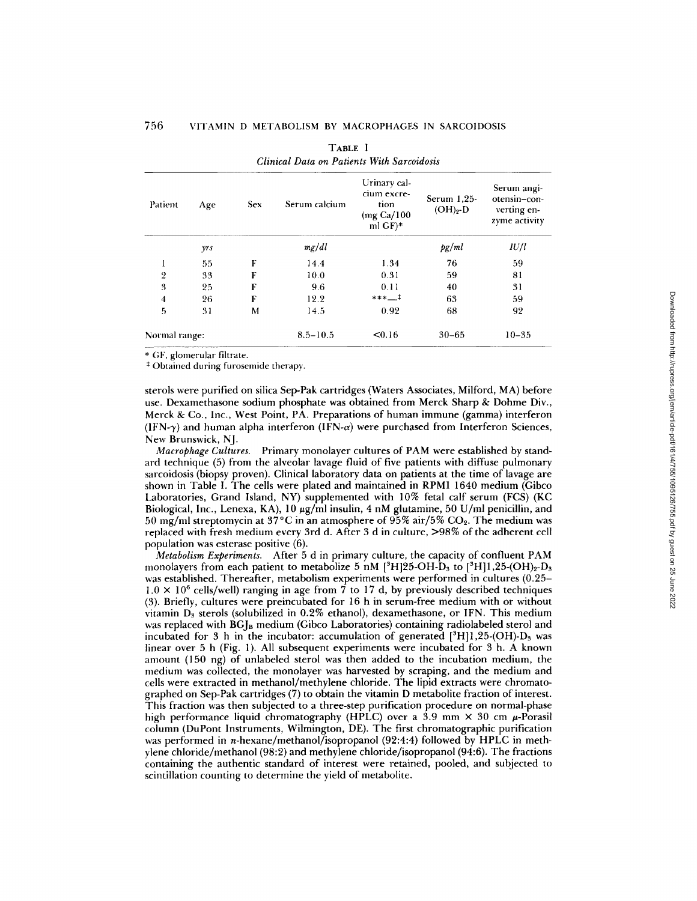| Patient        | Age | <b>Sex</b> | Serum calcium | Urinary cal-<br>cium excre-<br>tion<br>(mg Ca/100)<br>ml $GF$ <sup>*</sup> | Serum $1.25$<br>$(OH)2-D$ | Serum angi-<br>otensin-con-<br>verting en-<br>zyme activity |  |
|----------------|-----|------------|---------------|----------------------------------------------------------------------------|---------------------------|-------------------------------------------------------------|--|
|                | yrs |            | mg/dl         |                                                                            | pg/ml                     | IU/l                                                        |  |
|                | 55  | F          | 14.4          | 1.34                                                                       | 76                        | 59                                                          |  |
| $\overline{2}$ | 33  | F          | 10.0          | 0.31                                                                       | 59                        | 81                                                          |  |
| 3              | 25  | F          | 9.6           | 0.11                                                                       | 40                        | 31                                                          |  |
| 4              | 26  | F          | 12.2          | $***$ $1$                                                                  | 63                        | 59                                                          |  |
| 5              | 31  | M          | 14.5          | 0.92                                                                       | 68                        | 92                                                          |  |
| Normal range:  |     |            | $8.5 - 10.5$  | < 0.16                                                                     | $30 - 65$                 | $10 - 35$                                                   |  |

| TABLE I                                    |
|--------------------------------------------|
| Clinical Data on Patients With Sarcoidosis |

\* GF, glomerular filtrate.

\* Obtained during furosemide therapy.

sterols were purified on silica Sep-Pak cartridges (Waters Associates, Milford, MA) before use. Dexamethasone sodium phosphate was obtained from Merck Sharp & Dohme Div., Merck & Co., Inc., West Point, PA. Preparations of human immune (gamma) interferon  $(IFN-\gamma)$  and human alpha interferon  $(IFN-\alpha)$  were purchased from Interferon Sciences, New Brunswick, NJ.

*Macrophage Cultures.* Primary monolayer cultures of PAM were established by standard technique (5) from the alveolar lavage fluid of five patients with diffuse pulmonary sarcoidosis (biopsy proven). Clinical laboratory data on patients at the time of lavage are shown in Table I. The cells were plated and maintained in RPMI 1640 medium (Gibco Laboratories, Grand Island, NY) supplemented with 10% fetal calf serum (FCS) (KC Biological, Inc., Lenexa, KA),  $10 \mu g/ml$  insulin, 4 nM glutamine, 50 U/ml penicillin, and 50 mg/ml streptomycin at  $37^{\circ}$ C in an atmosphere of  $95\%$  air/5% CO<sub>2</sub>. The medium was replaced with fresh medium every 3rd d. After 3 d in culture, >98% of the adherent cell population was esterase positive (6).

*Metabolism Experiments.* After 5 d in primary culture, the capacity of confluent PAM monolayers from each patient to metabolize 5 nM  $[^{3}H]25\text{-}OH\text{-}D_{3}$  to  $[^{3}H]1,25\text{-}OH)_{2}\text{-}D_{3}$ was established. Thereafter, metabolism experiments were performed in cultures (0.25-  $1.0 \times 10^6$  cells/well) ranging in age from 7 to 17 d, by previously described techniques (3). Briefly, cultures were preincubated for 16 h in serum-free medium with or without vitamin  $D_3$  sterols (solubilized in 0.2% ethanol), dexamethasone, or IFN. This medium was replaced with  $BGI<sub>B</sub>$  medium (Gibco Laboratories) containing radiolabeled sterol and incubated for 3 h in the incubator: accumulation of generated  $[^{3}H]1,25\text{-}(OH)-D_{3}$  was linear over 5 h (Fig. 1). All subsequent experiments were incubated for 3 h. A known amount (150 ng) of unlabeled sterol was then added to the incubation medium, the medium was collected, the monolayer was harvested by scraping, and the medium and cells were extracted in methanol/methylene chloride. The lipid extracts were chromatographed on Sep-Pak cartridges (7) to obtain the vitamin D metabolite fraction of interest. This fraction was then subjected to a three-step purification procedure on normal-phase high performance liquid chromatography (HPLC) over a 3.9 mm  $\times$  30 cm  $\mu$ -Porasil column (DuPont Instruments, Wilmington, DE). The first chromatographic purification was performed in *n*-hexane/methanol/isopropanol (92:4:4) followed by HPLC in methylene chloride/methanol (98:2) and methylene chloride/isopropanol (94:6). The fractions containing the authentic standard of interest were retained, pooled, and subjected to scintillation counting to determine the yield of metabolite.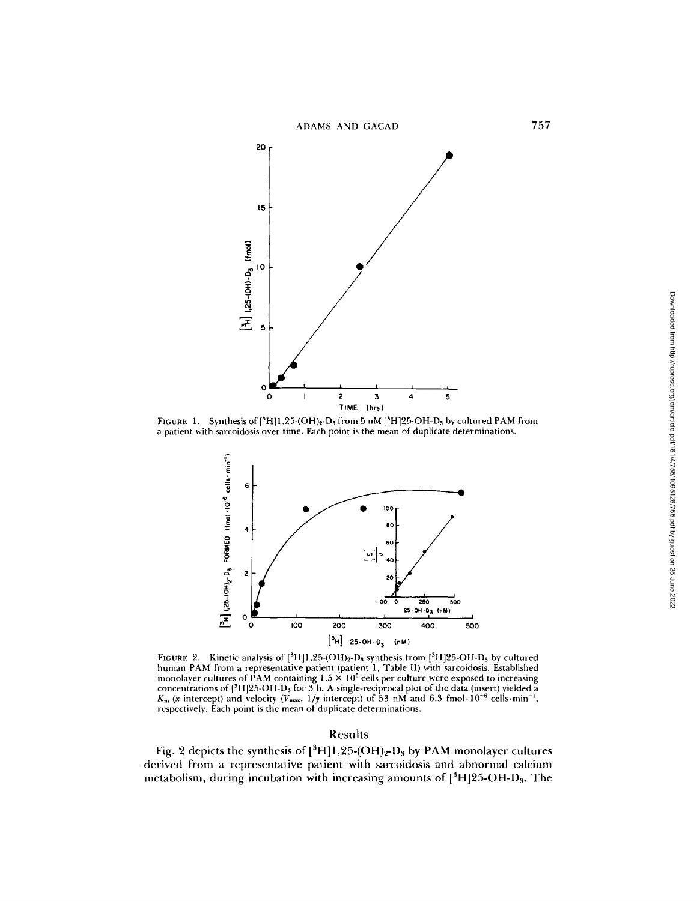

FIGURE 1. Synthesis of  $[^{3}H]1,25\cdot (OH)_2-D_3$  from 5 nM  $[^{3}H]25\cdot OH-D_3$  by cultured PAM from a patient with sarcoidosis over time. Each point is the mean of duplicate determinations.



FIGURE 2. Kinetic analysis of  $[^{8}H]1,25\text{-}(\mathrm{OH})_{2}\text{-}D_{3}$  synthesis from  $[^{8}H]25\text{-}OH\text{-}D_{3}$  by cultured human PAM from a representative patient (patient 1, Table I1) with sarcoidosis. Established monolayer cultures of PAM containing  $1.5 \times 10^5$  cells per culture were exposed to increasing concentrations of  $[^{3}H]25-OH-D<sub>3</sub>$  for  $3$  h. A single-reciprocal plot of the data (insert) yielded a  $K_m$  (x intercept) and velocity *(V<sub>max</sub>, 1/y* intercept) of 53 nM and 6.3 fmol. 10<sup>-6</sup> cells. min<sup>-1</sup>, respectively. Each point is the mean of duplicate determinations.

# Results

Fig. 2 depicts the synthesis of  $[^{3}H]1,25\text{-}(OH)_2\text{-}D_3$  by PAM monolayer cultures derived from a representative patient with sarcoidosis and abnormal calcium metabolism, during incubation with increasing amounts of  $[^{3}H]25$ -OH-D<sub>3</sub>. The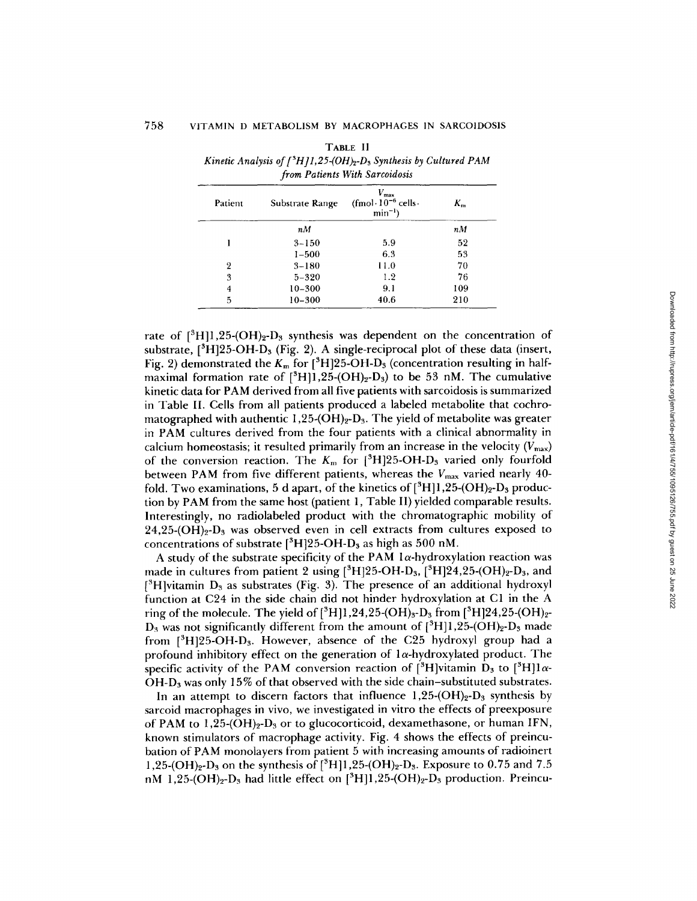| Patient | Substrate Range | $V_{\rm max}$<br>$(fmol \cdot 10^{-6}$ cells<br>$min^{-1}$ ) | $K_{m}$ |
|---------|-----------------|--------------------------------------------------------------|---------|
|         | nM              |                                                              | nM      |
|         | $3 - 150$       | 5.9                                                          | 52      |
|         | $1 - 500$       | 6.3                                                          | 53      |
| 2       | $3 - 180$       | 11.0                                                         | 70      |
| 3       | $5 - 320$       | 1.2                                                          | 76      |
| 4       | $10 - 300$      | 9.1                                                          | 109     |
| 5       | $10 - 300$      | 40.6                                                         | 210     |

TABLE I1 *Kinetic Analysis of*  $\int_{0}^{3} H \int_{0}^{3} H \int_{0}^{3} H \int_{2}^{3} D_{3}$  *Synthesis by Cultured PAM from Patients With Sarcoidosis* 

rate of  $[^{3}H]1,25-(OH)<sub>2</sub>-D<sub>3</sub>$  synthesis was dependent on the concentration of substrate,  $[{}^{3}H]25-OH-D<sub>3</sub>$  (Fig. 2). A single-reciprocal plot of these data (insert, Fig. 2) demonstrated the  $K_m$  for  $[^{3}H]25$ -OH-D<sub>3</sub> (concentration resulting in halfmaximal formation rate of  $[^{3}H]1,25\text{-}(OH)_{2}\text{-}D_{3}$ ) to be 53 nM. The cumulative kinetic data for PAM derived from all five patients with sarcoidosis is summarized in Table II. Cells from all patients produced a labeled metabolite that cochromatographed with authentic 1,25-(OH)<sub>2</sub>-D<sub>3</sub>. The yield of metabolite was greater in PAM cultures derived from the four patients with a clinical abnormality in calcium homeostasis; it resulted primarily from an increase in the velocity  $(V_{\text{max}})$ of the conversion reaction. The  $K_m$  for  $[^{3}H]25$ -OH-D<sub>3</sub> varied only fourfold between PAM from five different patients, whereas the  $V_{\text{max}}$  varied nearly 40fold. Two examinations, 5 d apart, of the kinetics of  $[^{3}H]1,25-(OH)_{2}-D_{3}$  production by PAM from the same host (patient 1, Table II) yielded comparable results. Interestingly, no radiolabeled product with the chromatographic mobility of  $24,25$ -(OH)<sub>2</sub>-D<sub>3</sub> was observed even in cell extracts from cultures exposed to concentrations of substrate  $[^{3}H]25$ -OH-D<sub>3</sub> as high as 500 nM.

A study of the substrate specificity of the PAM  $1\alpha$ -hydroxylation reaction was made in cultures from patient 2 using  $[^{3}H]25$ -OH-D<sub>3</sub>,  $[^{3}H]24,25$ -(OH)<sub>2</sub>-D<sub>3</sub>, and  $[^{3}H]$ vitamin D<sub>3</sub> as substrates (Fig. 3). The presence of an additional hydroxyl function at C24 in the side chain did not hinder hydroxylation at C1 in the A ring of the molecule. The yield of [3H]l,24,25-(OH)3-D3 from [~H]24,25-(OH)2-  $D_3$  was not significantly different from the amount of  $[^3H]1,25\text{-}(OH)_2\text{-}D_3$  made from  $[^{3}H]25$ -OH-D<sub>3</sub>. However, absence of the C25 hydroxyl group had a profound inhibitory effect on the generation of  $1\alpha$ -hydroxylated product. The specific activity of the PAM conversion reaction of  $[{}^{3}H]$ vitamin D<sub>3</sub> to  $[{}^{3}H]1\alpha$ - $OH-D<sub>3</sub>$  was only 15% of that observed with the side chain-substituted substrates.

In an attempt to discern factors that influence  $1,25\text{-}(OH)_2\text{-}D_3$  synthesis by sarcoid macrophages in vivo, we investigated in vitro the effects of preexposure of PAM to  $1.25\text{-}(OH)<sub>2</sub> - D<sub>3</sub>$  or to glucocorticoid, dexamethasone, or human IFN, known stimulators of macrophage activity. Fig. 4 shows the effects of preincubation of PAM monolayers from patient 5 with increasing amounts of radioinert 1,25-(OH)<sub>2</sub>-D<sub>3</sub> on the synthesis of  $[^{3}H]1,25$ -(OH)<sub>2</sub>-D<sub>3</sub>. Exposure to 0.75 and 7.5 nM 1,25-(OH)<sub>2</sub>-D<sub>3</sub> had little effect on  $[^{3}H]1,25$ -(OH)<sub>2</sub>-D<sub>3</sub> production. Preincu-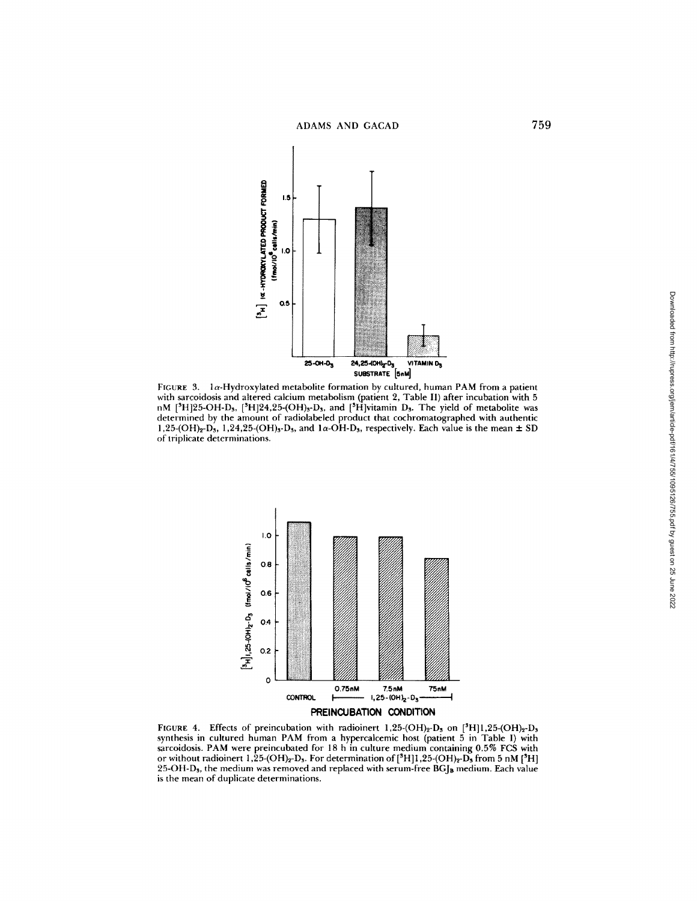

FIGURE 3. la-Hydroxylated metabolite formation by cultured, human PAM from a patient with sarcoidosis and altered calcium metabolism (patient 2, Table II) after incubation with 5 nM [<sup>3</sup>H]25-OH-D<sub>3</sub>, [<sup>3</sup>H]24,25-(OH)<sub>3</sub>-D<sub>3</sub>, and [<sup>3</sup>H]vitamin D<sub>3</sub>. The yield of metabolite was determined by the amount of radiolabeled product that cochromatographed with authentic 1,25-(OH)<sub>2</sub>-D<sub>3</sub>, 1,24,25-(OH)<sub>3</sub>-D<sub>3</sub>, and 1 $\alpha$ -OH-D<sub>3</sub>, respectively. Each value is the mean  $\pm$  SD of triplicate determinations.



PREINCUBATION **CONDITION** 

FIGURE 4. Effects of preincubation with radioinert  $1,25\text{-}(OH)_2\text{-}D_3$  on  $[^{3}H]1,25\text{-}(OH)_2\text{-}D_5$ synthesis in cultured human PAM from a hypercalcemic host (patient 5 in Table I) with sarcoidosis. PAM were preincubated for 18 h in culture medium containing 0.5% FCS with or without radioinert 1,25-(OH)<sub>2</sub>-D<sub>3</sub>. For determination of  $[^{3}H]$ 1,25-(OH)<sub>2</sub>-D<sub>3</sub> from 5 nM  $[^{3}H]$  $25$ -OH-D<sub>s</sub>, the medium was removed and replaced with serum-free BGJ<sub>B</sub> medium. Each value is the mean of duplicate determinations.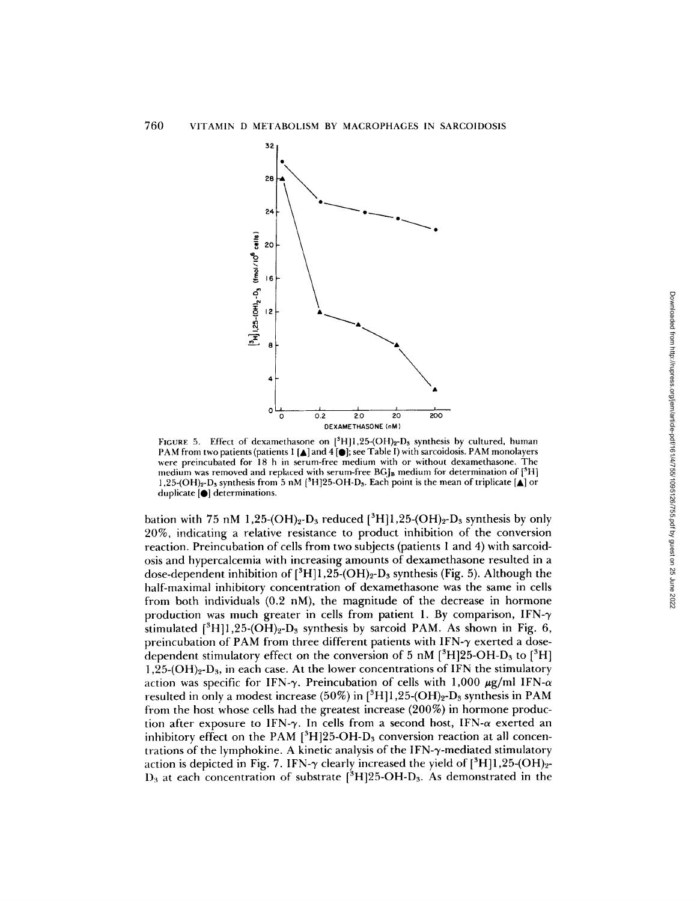

FIGURE 5. Effect of dexamethasone on  $[^{3}H]1,25\text{-}(OH)_{2}O_{3}$  synthesis by cultured, human PAM from two patients (patients 1 [ $\blacktriangle$ ] and 4 [ $\blacktriangleright$ ]; see Table I) with sarcoidosis. PAM monolayers were preincubated for 18 h in serum-free medium with or without dexamethasone. The medium was removed and replaced with serum-free  $BGJ_B$  medium for determination of  $[{}^{5}H]$ **]** ,25-(OH)2-D3 synthesis from 5 nM [SH]25-OH-D3. Each point is the mean of triplicate [A] or duplicate [O] determinations.

bation with 75 nM 1,25-(OH)<sub>2</sub>-D<sub>3</sub> reduced  $[^{3}H]$ 1,25-(OH)<sub>2</sub>-D<sub>3</sub> synthesis by only 20%, indicating a relative resistance to product inhibition of the conversion reaction. Preincubation of cells from two subjects (patients 1 and 4) with sarcoidosis and hypercalcemia with increasing amounts of dexamethasone resulted in a dose-dependent inhibition of  $[^3H]$  1, 25-(OH)<sub>2</sub>-D<sub>3</sub> synthesis (Fig. 5). Although the half-maximal inhibitory concentration of dexamethasone was the same in cells from both individuals  $(0.2 \text{ nM})$ , the magnitude of the decrease in hormone production was much greater in cells from patient 1. By comparison,  $IFN-\gamma$ stimulated  $[^{3}H]1,25\cdot (OH)_{2}$ -D<sub>3</sub> synthesis by sarcoid PAM. As shown in Fig. 6, preincubation of PAM from three different patients with IFN- $\gamma$  exerted a dosedependent stimulatory effect on the conversion of 5 nM  $[^{3}H]25-OH-D_{3}$  to  $[^{3}H]$  $1,25$ -(OH)<sub>2</sub>-D<sub>3</sub>, in each case. At the lower concentrations of IFN the stimulatory action was specific for IFN- $\gamma$ . Preincubation of cells with 1,000  $\mu$ g/ml IFN- $\alpha$ resulted in only a modest increase (50%) in  $[^{3}H]1,25$ -(OH)<sub>2</sub>-D<sub>3</sub> synthesis in PAM from the host whose cells had the greatest increase (200%) in hormone production after exposure to IFN- $\gamma$ . In cells from a second host, IFN- $\alpha$  exerted an inhibitory effect on the PAM  $[3H]25-OH-D_3$  conversion reaction at all concentrations of the lymphokine. A kinetic analysis of the IFN- $\gamma$ -mediated stimulatory action is depicted in Fig. 7. IFN- $\gamma$  clearly increased the yield of  $[^{3}H]1,25\text{-}(OH)_{2}$ - $D_3$  at each concentration of substrate  $[^3H]25$ -OH-D<sub>3</sub>. As demonstrated in the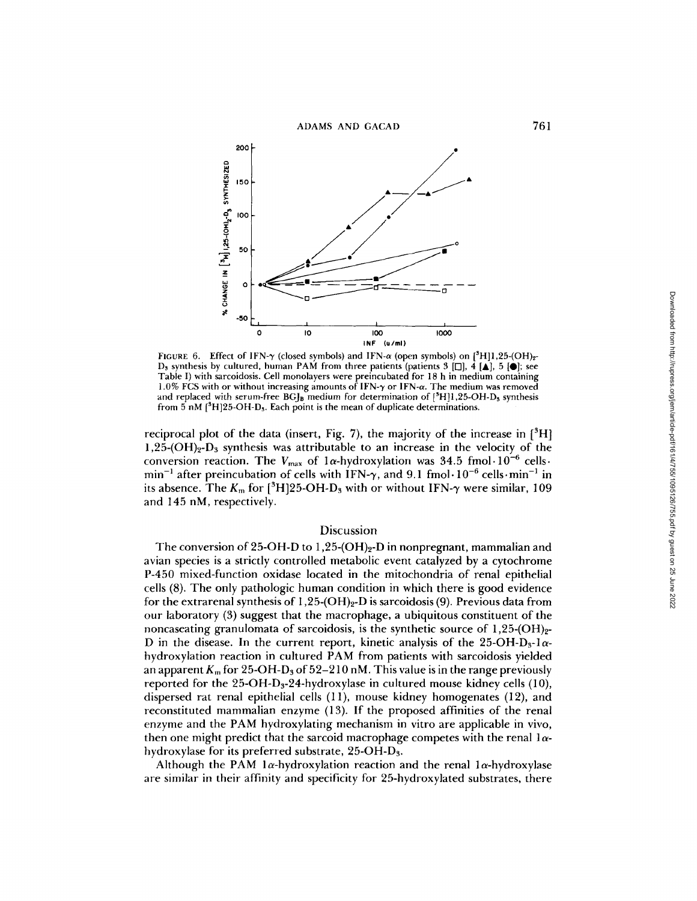



FIGURE 6. Effect of IFN- $\gamma$  (closed symbols) and IFN- $\alpha$  (open symbols) on [3H]1,25-(OH)<sub>2</sub>-D<sub>3</sub> synthesis by cultured, human PAM from three patients (patients 3 [ $\Box$ ], 4 [ $\blacktriangle$ ], 5 [ $\blacktriangleright$ ]; see Table I) with sarcoidosis. Cell monolayers were preincubated for 18 h in medium containing 1.0% FCS with or without increasing amounts of IFN- $\gamma$  or IFN- $\alpha$ . The medium was removed and replaced with serum-free  $BGI_B$  medium for determination of  $[^{3}H]1,25-OH-D<sub>s</sub>$  synthesis from  $5$  nM  $[^{8}H]25$ -OH-D<sub>3</sub>. Each point is the mean of duplicate determinations.

reciprocal plot of the data (insert, Fig. 7), the majority of the increase in  $[^{3}H]$ 1,25-(OH)<sub>2</sub>-D<sub>a</sub> synthesis was attributable to an increase in the velocity of the conversion reaction. The  $V_{\text{max}}$  of  $1\alpha$ -hydroxylation was 34.5 fmol $\cdot 10^{-6}$  cells.  $min^{-1}$  after preincubation of cells with IFN- $\gamma$ , and 9.1 fmol $\cdot 10^{-6}$  cells $\cdot min^{-1}$  in its absence. The  $K_m$  for  $[^3H]25$ -OH-D<sub>3</sub> with or without IFN- $\gamma$  were similar, 109 and 145 nM, respectively.

## Discussion

The conversion of 25-OH-D to  $1,25$ -(OH)<sub>2</sub>-D in nonpregnant, mammalian and avian species is a strictly controlled metabolic event catalyzed by a cytochrome P-450 mixed-function oxidase located in the mitochondria of renal epithelial cells (8). The only pathologic human condition in which there is good evidence for the extrarenal synthesis of  $1,25$ -(OH)<sub>2</sub>-D is sarcoidosis (9). Previous data from our laboratory (3) suggest that the macrophage, a ubiquitous constituent of the noncaseating granulomata of sarcoidosis, is the synthetic source of  $1,25$ -(OH)<sub>2</sub>-D in the disease. In the current report, kinetic analysis of the 25-OH-D<sub>3</sub>-1 $\alpha$ hydroxylation reaction in cultured PAM from patients with sarcoidosis yielded an apparent  $K_m$  for 25-OH-D<sub>3</sub> of 52-210 nM. This value is in the range previously reported for the  $25\text{-}OH\text{-}D<sub>3</sub>$ -24-hydroxylase in cultured mouse kidney cells (10), dispersed rat renal epithelial cells (11), mouse kidney homogenates (12), and reconstituted mammalian enzyme (13). If the proposed affinities of the renal enzyme and the PAM hydroxylating mechanism in vitro are applicable in vivo, then one might predict that the sarcoid macrophage competes with the renal  $1\alpha$ hydroxylase for its preferred substrate, 25-OH-D3.

Although the PAM  $1\alpha$ -hydroxylation reaction and the renal  $1\alpha$ -hydroxylase are similar in their affinity and specificity for 25-hydroxylated substrates, there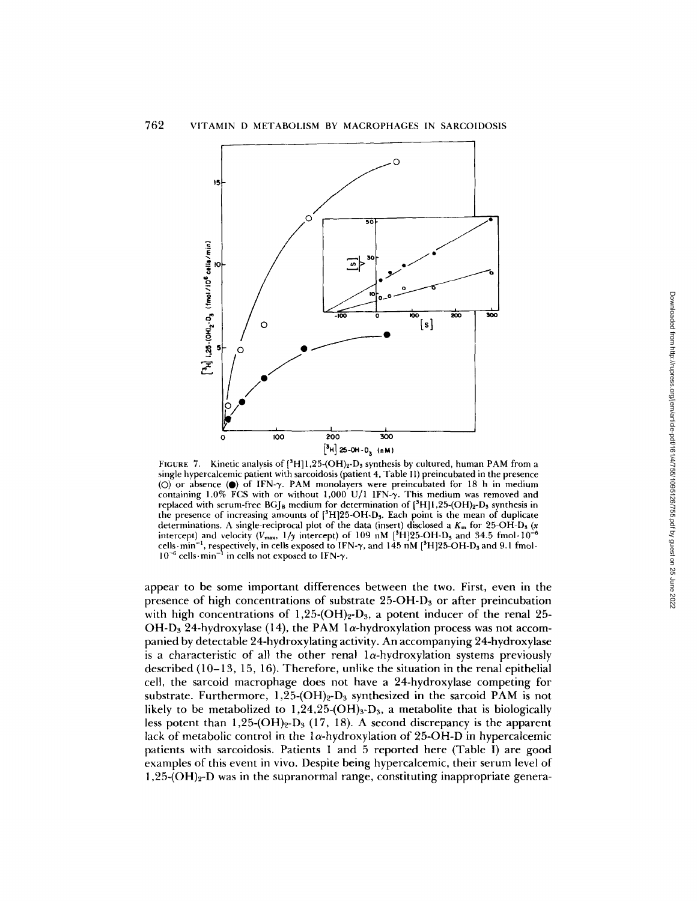

FIGURE 7. Kinetic analysis of  $[^{3}H]1,25\text{-}(OH)_2-D_3$  synthesis by cultured, human PAM from a single hypercalcemic patient with sarcoidosis (patient 4, Table If) preincubated in the presence (O) or absence ( $\bullet$ ) of IFN- $\gamma$ . PAM monolayers were preincubated for 18 h in medium containing 1.0% FCS with or without 1,000 U/1 1FN- $\gamma$ . This medium was removed and replaced with serum-free BG $\mu_{\rm B}$  medium for determination of  $[^{3}H]1,25-(OH)_{2}-D_{3}$  synthesis in the presence of increasing amounts of  $[^{8}H]25$ -OH-D<sub>3</sub>. Each point is the mean of duplicate determinations. A single-reciprocal plot of the data (insert) disclosed a  $K<sub>m</sub>$  for 25-OH-D<sub>3</sub> (x intercept) and velocity ( $V_{\text{max}}$ ,  $1/y$  intercept) of 109 nM [<sup>3</sup>H]25-OH-D<sub>3</sub> and 34.5 fmol·10<sup>-6</sup> cells  $\min^{-1}$ , respectively, in cells exposed to IFN- $\gamma$ , and 145 nM [<sup>3</sup>H]25-OH-D<sub>3</sub> and 9.1 fmol.  $10^{-6}$  cells $\cdot$ min<sup>-1</sup> in cells not exposed to IFN- $\gamma$ .

appear to be some important differences between the two. First, even in the presence of high concentrations of substrate 25-OH-Ds or after preincubation with high concentrations of 1,25-(OH)<sub>2</sub>-D<sub>3</sub>, a potent inducer of the renal 25-OH-D<sub>3</sub> 24-hydroxylase (14), the PAM 1 $\alpha$ -hydroxylation process was not accompanied by detectable 24-hydroxylating activity. An accompanying 24-hydroxylase is a characteristic of all the other renal  $l_{\alpha}$ -hydroxylation systems previously described (10-13, 15, 16). Therefore, unlike the situation in the renal epithelial cell, the sarcoid macrophage does not have a 24-hydroxylase competing for substrate. Furthermore,  $1,25\text{-}(OH)<sub>2</sub>$ -D<sub>3</sub> synthesized in the sarcoid PAM is not likely to be metabolized to  $1,24,25-(OH)<sub>3</sub>$ , a metabolite that is biologically less potent than  $1,25-(OH)<sub>2</sub>-D<sub>3</sub>$  (17, 18). A second discrepancy is the apparent lack of metabolic control in the  $1\alpha$ -hydroxylation of 25-OH-D in hypercalcemic patients with sarcoidosis. Patients 1 and 5 reported here (Table I) are good examples of this event in vivo. Despite being hypercalcemic, their serum level of **1,25-(OH)2-D** was in the supranormal range, constituting inappropriate genera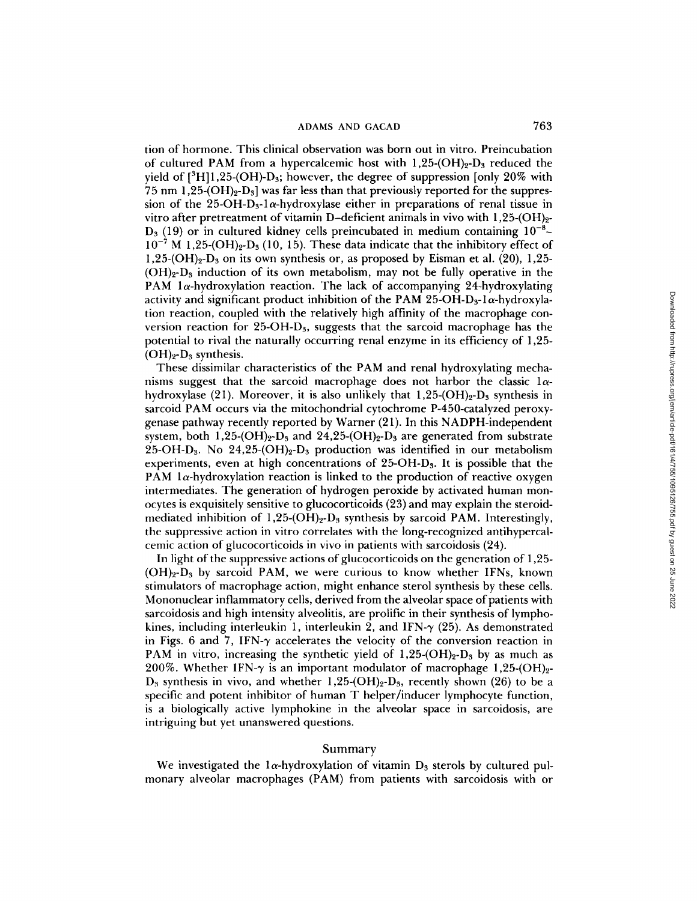tion of hormone. This clinical observation was born out in vitro. Preincubation of cultured PAM from a hypercalcemic host with  $1,25-(OH)_2-D_3$  reduced the yield of  $\binom{3}{1},25-(OH)-D_3$ ; however, the degree of suppression [only 20% with 75 nm  $1,25\text{-}(OH)<sub>2</sub>-D<sub>3</sub>$  was far less than that previously reported for the suppression of the 25-OH-D<sub>3</sub>-l $\alpha$ -hydroxylase either in preparations of renal tissue in vitro after pretreatment of vitamin D-deficient animals in vivo with  $1,25$ -(OH)<sub>2</sub>- $D_3$  (19) or in cultured kidney cells preincubated in medium containing  $10^{-8}$ - $10^{-7}$  M 1,25-(OH)<sub>2</sub>-D<sub>3</sub> (10, 15). These data indicate that the inhibitory effect of 1,25- $(OH)<sub>2</sub>$ -D<sub>3</sub> on its own synthesis or, as proposed by Eisman et al. (20), 1,25- $(OH)<sub>2</sub>-D<sub>3</sub>$  induction of its own metabolism, may not be fully operative in the PAM  $1\alpha$ -hydroxylation reaction. The lack of accompanying 24-hydroxylating activity and significant product inhibition of the PAM 25-OH-D<sub>3</sub>-1 $\alpha$ -hydroxylation reaction, coupled with the relatively high affinity of the macrophage conversion reaction for 25-OH- $D_3$ , suggests that the sarcoid macrophage has the potential to rival the naturally occurring renal enzyme in its efficiency of 1,25-  $(OH)<sub>2</sub>$ -D<sub>3</sub> synthesis.

These dissimilar characteristics of the PAM and renal hydroxylating mechanisms suggest that the sarcoid macrophage does not harbor the classic  $1\alpha$ hydroxylase (21). Moreover, it is also unlikely that  $1,25\text{-}(OH)<sub>2</sub> - D<sub>3</sub>$  synthesis in sarcoid PAM occurs via the mitochondrial cytochrome P-450-catalyzed peroxygenase pathway recently reported by Warner (21). In this NADPH-independent system, both  $1,25-(OH)<sub>2</sub>$ -D<sub>3</sub> and  $24,25-(OH)<sub>2</sub>$ -D<sub>3</sub> are generated from substrate 25-OH-D<sub>3</sub>. No 24,25-(OH)<sub>2</sub>-D<sub>3</sub> production was identified in our metabolism experiments, even at high concentrations of 25-OH-Ds. It is possible that the PAM  $1\alpha$ -hydroxylation reaction is linked to the production of reactive oxygen intermediates. The generation of hydrogen peroxide by activated human monocytes is exquisitely sensitive to glucocorticoids (23) and may explain the steroidmediated inhibition of  $1,25$ -(OH)<sub>2</sub>-D<sub>3</sub> synthesis by sarcoid PAM. Interestingly, the suppressive action in vitro correlates with the long-recognized antihypercalcemic action of glucocorticoids in vivo in patients with sarcoidosis (24).

In light of the suppressive actions of glucocorticoids on the generation of 1,25-  $(OH)<sub>2</sub>-D<sub>3</sub>$  by sarcoid PAM, we were curious to know whether IFNs, known stimulators of macrophage action, might enhance sterol synthesis by these cells. Mononuclear inflammatory cells, derived from the alveolar space of patients with sarcoidosis and high intensity alveolitis, are prolific in their synthesis of lymphokines, including interleukin 1, interleukin 2, and IFN- $\gamma$  (25). As demonstrated in Figs. 6 and 7, IFN- $\gamma$  accelerates the velocity of the conversion reaction in PAM in vitro, increasing the synthetic yield of  $1,25$ -(OH)<sub>2</sub>-D<sub>3</sub> by as much as 200%. Whether IFN- $\gamma$  is an important modulator of macrophage 1,25-(OH)<sub>2</sub>- $D_3$  synthesis in vivo, and whether 1,25-(OH)<sub>2</sub>-D<sub>3</sub>, recently shown (26) to be a specific and potent inhibitor of human T helper/inducer lymphocyte function, is a biologically active lymphokine in the alveolar space in sarcoidosis, are intriguing but yet unanswered questions.

#### Summary

We investigated the la-hydroxylation of vitamin  $D_3$  sterols by cultured pulmonary alveolar macrophages (PAM) from patients with sarcoidosis with or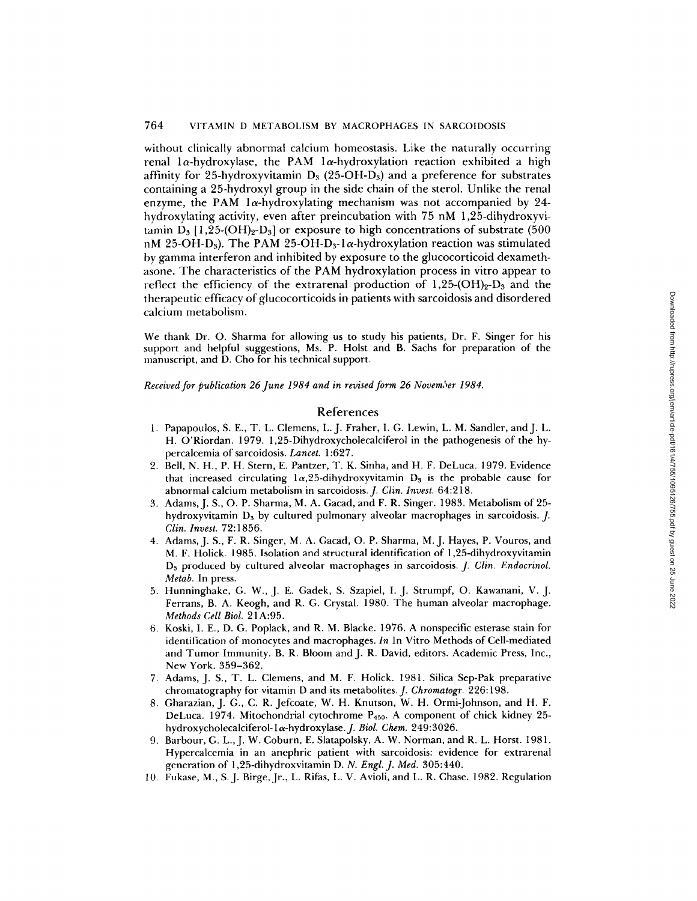### 764 VITAMIN D METABOLISM BY MACROPHAGES IN SARCOIDOSIS

without clinically abnormal calcium homeostasis. Like the naturally occurring renal  $1\alpha$ -hydroxylase, the PAM  $1\alpha$ -hydroxylation reaction exhibited a high affinity for 25-hydroxyvitamin  $D_3$  (25-OH-D<sub>3</sub>) and a preference for substrates containing a 25-hydroxyl group in the side chain of the sterol. Unlike the renal enzyme, the PAM  $1\alpha$ -hydroxylating mechanism was not accompanied by 24hydroxylating activity, even after preincubation with 75 nM 1,25-dihydroxyvitamin  $D_3$  [1,25-(OH)<sub>2</sub>-D<sub>3</sub>] or exposure to high concentrations of substrate (500 nM 25-OH-D<sub>3</sub>). The PAM 25-OH-D<sub>3</sub>-1 $\alpha$ -hydroxylation reaction was stimulated by gamma interferon and inhibited by exposure to the glucocorticoid dexamethasone. The characteristics of the PAM hydroxylation process in vitro appear to reflect the efficiency of the extrarenal production of  $1,25-(OH)<sub>2</sub>-D<sub>3</sub>$  and the therapeutic efficacy of glucocorticoids in patients with sarcoidosis and disordered calcium metabolism.

We thank Dr. O. Sharma for allowing us to study his patients, Dr. F. Singer for his support and helpful suggestions, Ms. P. Holst and B. Sachs for preparation of the manuscript, and D. Cho for his technical support.

*Received for publication 26 June 1984 and in revised form 26 November 1984.* 

#### References

- 1. Papapoulos, S. E., T. L. Clemens, L.J. Fraher, I. G. Lewin, L. M. Sandler, and J. L. H. O'Riordan. 1979. 1,25-Dihydroxycholecalciferol in the pathogenesis of the hypercalcemia of sarcoidosis. *Lancet.* 1:627.
- 2. Bell, N. H., P. H. Stern, E. Pantzer, T. K. Sinha, and H. F. DeLuca. 1979. Evidence that increased circulating  $l\alpha$ , 25-dihydroxyvitamin  $D_3$  is the probable cause for abnormal calcium metabolism in sarcoidosis. *J. Clin. Invest.* 64:218.
- 3. Adams, J. S., O. P. Sharma, M. A. Gacad, and F. R. Singer. 1983. Metabolism of 25 hydroxyvitamin  $D_3$  by cultured pulmonary alveolar macrophages in sarcoidosis.  $J$ . *Clin. Invest.* 72:1856.
- 4. Adams, J. S., F. R. Singer, M. A. Gacad, O. P. Sharma, M.J. Hayes, P. Vouros, and M. F. Holick. 1985. Isolation and structural identification of 1,25-dihydroxyvitamin D3 produced by cultured alveolar macrophages in sarcoidosis. *J. Clin. Endocrinol. Metab.* In press.
- 5. Hunninghake, G. W., J. E. Gadek, S. Szapiel, I. J. Strumpf, O. Kawanani, V. J. Ferrans, B. A. Keogh, and R. G. Crystal. 1980. The human alveolar macrophage. *Methods Cell Biol.* 21 A:95.
- 6. Koski, I. E., D. G. Poplack, and R. M. Blacke. 1976. A nonspecific esterase stain for identification of monocytes and macrophages. *In* In Vitro Methods of Cell-mediated and Tumor Immunity. B. R. Bloom and J. R. David, editors. Academic Press, Inc., New York. 359-362.
- 7. Adams, J. S., T. L. Clemens, and M. F. Holick. 1981. Silica Sep-Pak preparative chromatography for vitamin D and its metabolites. *J. Chromatogr.* 226:198.
- 8. Gharazian, J. G., C. R. Jefcoate, W. H. Knutson, W. H. Ormi-Johnson, and H. F. DeLuca. 1974. Mitochondrial cytochrome P450. A component of chick kidney 25 hydroxycholecalciferol-la-hydroxylase.J. *Biol. Chem.* 249:3026.
- 9. Barbour, G. L., J. W. Coburn, E. Slatapolsky, A. W. Norman, and R. L. Horst. 1981. Hypercalcemia in an anephric patient with sarcoidosis: evidence for extrarenal generation of 1,25-dihydroxvitamin *D. N. Engl. J. Med.* 305:440.
- 10. Fukase, M., S.J. Birge, Jr., L. Rifas, L. V. Avioli, and L. R. Chase. 1982. Regulation